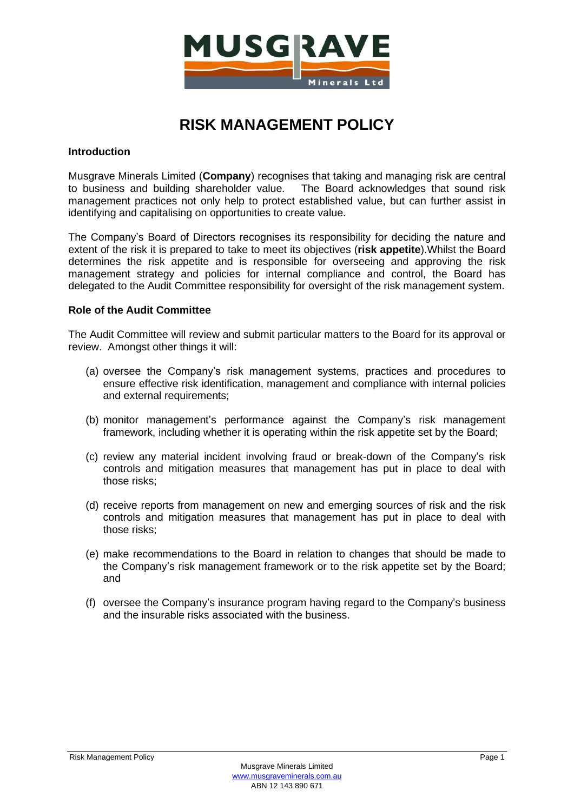

# **RISK MANAGEMENT POLICY**

# **Introduction**

Musgrave Minerals Limited (**Company**) recognises that taking and managing risk are central to business and building shareholder value. The Board acknowledges that sound risk management practices not only help to protect established value, but can further assist in identifying and capitalising on opportunities to create value.

The Company's Board of Directors recognises its responsibility for deciding the nature and extent of the risk it is prepared to take to meet its objectives (**risk appetite**).Whilst the Board determines the risk appetite and is responsible for overseeing and approving the risk management strategy and policies for internal compliance and control, the Board has delegated to the Audit Committee responsibility for oversight of the risk management system.

# **Role of the Audit Committee**

The Audit Committee will review and submit particular matters to the Board for its approval or review. Amongst other things it will:

- (a) oversee the Company's risk management systems, practices and procedures to ensure effective risk identification, management and compliance with internal policies and external requirements;
- (b) monitor management's performance against the Company's risk management framework, including whether it is operating within the risk appetite set by the Board;
- (c) review any material incident involving fraud or break-down of the Company's risk controls and mitigation measures that management has put in place to deal with those risks;
- (d) receive reports from management on new and emerging sources of risk and the risk controls and mitigation measures that management has put in place to deal with those risks;
- (e) make recommendations to the Board in relation to changes that should be made to the Company's risk management framework or to the risk appetite set by the Board; and
- (f) oversee the Company's insurance program having regard to the Company's business and the insurable risks associated with the business.